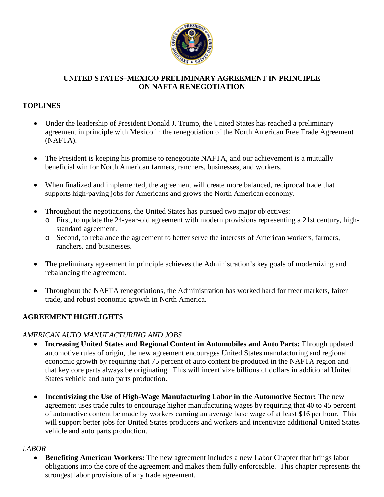

## **UNITED STATES–MEXICO PRELIMINARY AGREEMENT IN PRINCIPLE ON NAFTA RENEGOTIATION**

## **TOPLINES**

- Under the leadership of President Donald J. Trump, the United States has reached a preliminary agreement in principle with Mexico in the renegotiation of the North American Free Trade Agreement (NAFTA).
- The President is keeping his promise to renegotiate NAFTA, and our achievement is a mutually beneficial win for North American farmers, ranchers, businesses, and workers.
- When finalized and implemented, the agreement will create more balanced, reciprocal trade that supports high-paying jobs for Americans and grows the North American economy.
- Throughout the negotiations, the United States has pursued two major objectives:
	- o First, to update the 24-year-old agreement with modern provisions representing a 21st century, highstandard agreement.
	- o Second, to rebalance the agreement to better serve the interests of American workers, farmers, ranchers, and businesses.
- The preliminary agreement in principle achieves the Administration's key goals of modernizing and rebalancing the agreement.
- Throughout the NAFTA renegotiations, the Administration has worked hard for freer markets, fairer trade, and robust economic growth in North America.

## **AGREEMENT HIGHLIGHTS**

#### *AMERICAN AUTO MANUFACTURING AND JOBS*

- **Increasing United States and Regional Content in Automobiles and Auto Parts:** Through updated automotive rules of origin, the new agreement encourages United States manufacturing and regional economic growth by requiring that 75 percent of auto content be produced in the NAFTA region and that key core parts always be originating. This will incentivize billions of dollars in additional United States vehicle and auto parts production.
- **Incentivizing the Use of High-Wage Manufacturing Labor in the Automotive Sector:** The new agreement uses trade rules to encourage higher manufacturing wages by requiring that 40 to 45 percent of automotive content be made by workers earning an average base wage of at least \$16 per hour. This will support better jobs for United States producers and workers and incentivize additional United States vehicle and auto parts production.

#### *LABOR*

• **Benefiting American Workers:** The new agreement includes a new Labor Chapter that brings labor obligations into the core of the agreement and makes them fully enforceable. This chapter represents the strongest labor provisions of any trade agreement.